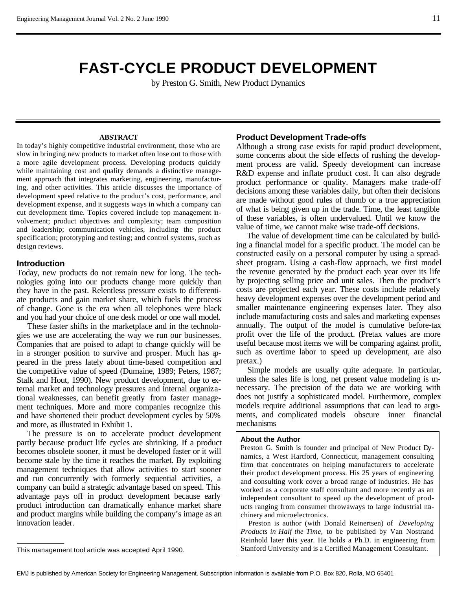# **FAST-CYCLE PRODUCT DEVELOPMENT**

by Preston G. Smith, New Product Dynamics

### **ABSTRACT**

In today's highly competitive industrial environment, those who are slow in bringing new products to market often lose out to those with a more agile development process. Developing products quickly while maintaining cost and quality demands a distinctive management approach that integrates marketing, engineering, manufacturing, and other activities. This article discusses the importance of development speed relative to the product's cost, performance*,* and development expense, and it suggests ways in which a company can cut development time. Topics covered include top management involvement; product objectives and complexity; team composition and leadership; communication vehicles, including the product specification; prototyping and testing; and control systems, such as design reviews.

## **Introduction**

Today, new products do not remain new for long. The technologies going into our products change more quickly than they have in the past. Relentless pressure exists to differentiate products and gain market share, which fuels the process of change. Gone is the era when all telephones were black and you had your choice of one desk model or one wall model.

These faster shifts in the marketplace and in the technologies we use are accelerating the way we run our businesses. Companies that are poised to adapt to change quickly will be in a stronger position to survive and prosper. Much has appeared in the press lately about time-based competition and the competitive value of speed (Dumaine, 1989; Peters, 1987; Stalk and Hout, 1990). New product development, due to external market and technology pressures and internal organizational weaknesses, can benefit greatly from faster management techniques. More and more companies recognize this and have shortened their product development cycles by 50% and more, as illustrated in Exhibit 1.

The pressure is on to accelerate product development partly because product life cycles are shrinking. If a product becomes obsolete sooner, it must be developed faster or it will become stale by the time it reaches the market. By exploiting management techniques that allow activities to start sooner and run concurrently with formerly sequential activities, a company can build a strategic advantage based on speed. This advantage pays off in product development because early product introduction can dramatically enhance market share and product margins while building the company's image as an innovation leader.

Although a strong case exists for rapid product development, some concerns about the side effects of rushing the development process are valid. Speedy development can increase R&D expense and inflate product cost. It can also degrade product performance or quality. Managers make trade-off decisions among these variables daily, but often their decisions are made without good rules of thumb or a true appreciation of what is being given up in the trade. Time, the least tangible of these variables, is often undervalued. Until we know the value of time, we cannot make wise trade-off decisions.

The value of development time can be calculated by building a financial model for a specific product. The model can be constructed easily on a personal computer by using a spreadsheet program. Using a cash-flow approach, we first model the revenue generated by the product each year over its life by projecting selling price and unit sales. Then the product's costs are projected each year. These costs include relatively heavy development expenses over the development period and smaller maintenance engineering expenses later. They also include manufacturing costs and sales and marketing expenses annually. The output of the model is cumulative before-tax profit over the life of the product. (Pretax values are more useful because most items we will be comparing against profit, such as overtime labor to speed up development, are also pretax.)

Simple models are usually quite adequate. In particular, unless the sales life is long, net present value modeling is unnecessary. The precision of the data we are working with does not justify a sophisticated model. Furthermore, complex models require additional assumptions that can lead to arguments, and complicated models obscure inner financial mechanisms

## **About the Author**

Preston G. Smith is founder and principal of New Product Dynamics, a West Hartford, Connecticut, management consulting firm that concentrates on helping manufacturers to accelerate their product development process. His 25 years of engineering and consulting work cover a broad range of industries. He has worked as a corporate staff consultant and more recently as an independent consultant to speed up the development of products ranging from consumer throwaways to large industrial machinery and microelectronics.

Preston is author (with Donald Reinertsen) of *Developing Products in Half the Time,* to be published by Van Nostrand Reinhold later this year. He holds a Ph.D. in engineering from Stanford University and is a Certified Management Consultant.

**Product Development Trade-offs**

This management tool article was accepted April 1990.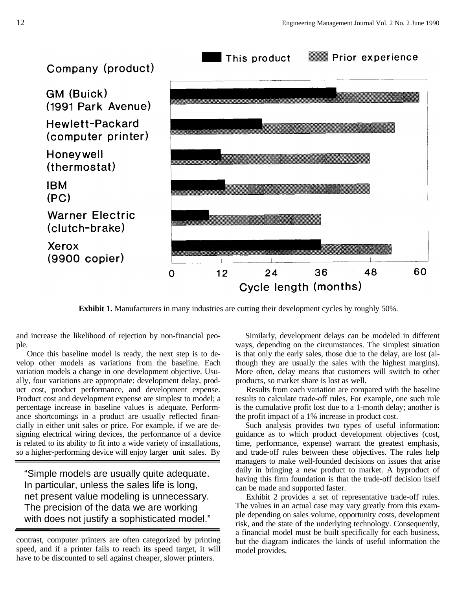

**Exhibit 1.** Manufacturers in many industries are cutting their development cycles by roughly 50%*.*

and increase the likelihood of rejection by non-financial people.

Once this baseline model is ready, the next step is to develop other models as variations from the baseline. Each variation models a change in one development objective. Usually, four variations are appropriate: development delay, product cost, product performance, and development expense. Product cost and development expense are simplest to model; a percentage increase in baseline values is adequate. Performance shortcomings in a product are usually reflected financially in either unit sales or price. For example, if we are designing electrical wiring devices, the performance of a device is related to its ability to fit into a wide variety of installations, so a higher-performing device will enjoy larger unit sales. By

"Simple models are usually quite adequate. In particular, unless the sales life is long, net present value modeling is unnecessary. The precision of the data we are working with does not justify a sophisticated model."

contrast, computer printers are often categorized by printing speed, and if a printer fails to reach its speed target, it will have to be discounted to sell against cheaper, slower printers.

Similarly, development delays can be modeled in different ways, depending on the circumstances. The simplest situation is that only the early sales, those due to the delay, are lost (although they are usually the sales with the highest margins). More often, delay means that customers will switch to other products, so market share is lost as well.

Results from each variation are compared with the baseline results to calculate trade-off rules. For example, one such rule is the cumulative profit lost due to a 1-month delay; another is the profit impact of a 1% increase in product cost.

Such analysis provides two types of useful information: guidance as to which product development objectives (cost, time, performance, expense) warrant the greatest emphasis, and trade-off rules between these objectives. The rules help managers to make well-founded decisions on issues that arise daily in bringing a new product to market. A byproduct of having this firm foundation is that the trade-off decision itself can be made and supported faster.

Exhibit 2 provides a set of representative trade-off rules. The values in an actual case may vary greatly from this example depending on sales volume, opportunity costs, development risk, and the state of the underlying technology. Consequently, a financial model must be built specifically for each business, but the diagram indicates the kinds of useful information the model provides.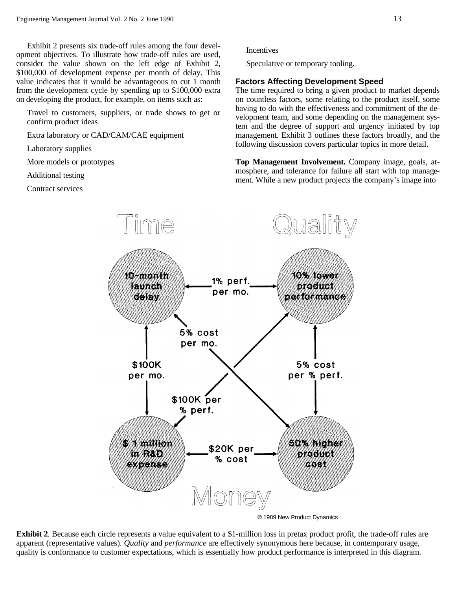Exhibit 2 presents six trade-off rules among the four development objectives. To illustrate how trade-off rules are used, consider the value shown on the left edge of Exhibit 2, \$100,000 of development expense per month of delay. This value indicates that it would be advantageous to cut 1 month from the development cycle by spending up to \$100,000 extra on developing the product, for example, on items such as:

Travel to customers, suppliers, or trade shows to get or confirm product ideas

Extra laboratory or CAD/CAM/CAE equipment

Laboratory supplies

More models or prototypes

Additional testing

Contract services

Incentives

Speculative or temporary tooling.

## **Factors Affecting Development Speed**

The time required to bring a given product to market depends on countless factors, some relating to the product itself, some having to do with the effectiveness and commitment of the development team, and some depending on the management system and the degree of support and urgency initiated by top management. Exhibit 3 outlines these factors broadly, and the following discussion covers particular topics in more detail.

**Top Management Involvement.** Company image, goals, atmosphere, and tolerance for failure all start with top management. While a new product projects the company's image into



**©** 1989 New Product Dynamics

**Exhibit 2**. Because each circle represents a value equivalent to a \$1-million loss in pretax product profit, the trade-off rules are apparent (representative values). *Quality* and *performance* are effectively synonymous here because, in contemporary usage, quality is conformance to customer expectations, which is essentially how product performance is interpreted in this diagram.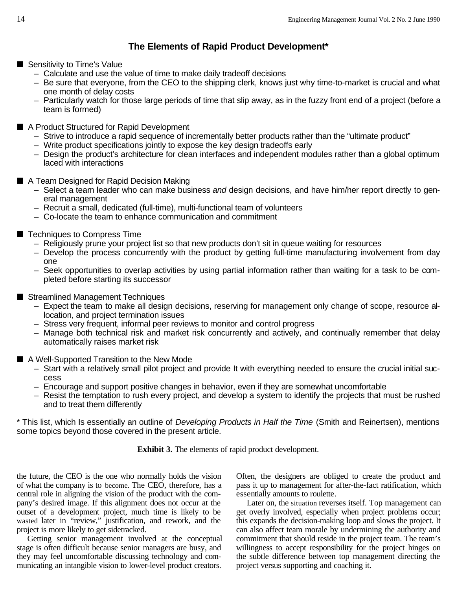## **The Elements of Rapid Product Development\***

- Sensitivity to Time's Value
	- Calculate and use the value of time to make daily tradeoff decisions
	- Be sure that everyone, from the CEO to the shipping clerk, knows just why time-to-market is crucial and what one month of delay costs
	- Particularly watch for those large periods of time that slip away, as in the fuzzy front end of a project (before a team is formed)
- A Product Structured for Rapid Development
	- Strive to introduce a rapid sequence of incrementally better products rather than the "ultimate product"
	- Write product specifications jointly to expose the key design tradeoffs early
	- Design the product's architecture for clean interfaces and independent modules rather than a global optimum laced with interactions
- A Team Designed for Rapid Decision Making
	- Select a team leader who can make business *and* design decisions, and have him/her report directly to general management
	- Recruit a small, dedicated (full-time), multi-functional team of volunteers
	- Co-locate the team to enhance communication and commitment
- $\blacksquare$  Techniques to Compress Time
	- Religiously prune your project list so that new products don't sit in queue waiting for resources
	- Develop the process concurrently with the product by getting full-time manufacturing involvement from day one
	- Seek opportunities to overlap activities by using partial information rather than waiting for a task to be completed before starting its successor
- Streamlined Management Techniques
	- Expect the team to make all design decisions, reserving for management only change of scope, resource allocation, and project termination issues
	- Stress very frequent, informal peer reviews to monitor and control progress
	- Manage both technical risk and market risk concurrently and actively, and continually remember that delay automatically raises market risk
- A Well-Supported Transition to the New Mode
	- Start with a relatively small pilot project and provide It with everything needed to ensure the crucial initial success
	- Encourage and support positive changes in behavior, even if they are somewhat uncomfortable
	- Resist the temptation to rush every project, and develop a system to identify the projects that must be rushed and to treat them differently

\* This list, which Is essentially an outline of *Developing Products in Half the Time* (Smith and Reinertsen), mentions some topics beyond those covered in the present article.

**Exhibit 3.** The elements of rapid product development.

the future, the CEO is the one who normally holds the vision of what the company is to become. The CEO, therefore, has a central role in aligning the vision of the product with the company's desired image. If this alignment does not occur at the outset of a development project, much time is likely to be wasted later in "review," justification, and rework, and the project is more likely to get sidetracked.

Getting senior management involved at the conceptual stage is often difficult because senior managers are busy, and they may feel uncomfortable discussing technology and communicating an intangible vision to lower-level product creators.

Often, the designers are obliged to create the product and pass it up to management for after-the-fact ratification, which essentially amounts to roulette.

Later on, the situation reverses itself. Top management can get overly involved, especially when project problems occur; this expands the decision-making loop and slows the project. It can also affect team morale by undermining the authority and commitment that should reside in the project team. The team's willingness to accept responsibility for the project hinges on the subtle difference between top management directing the project versus supporting and coaching it.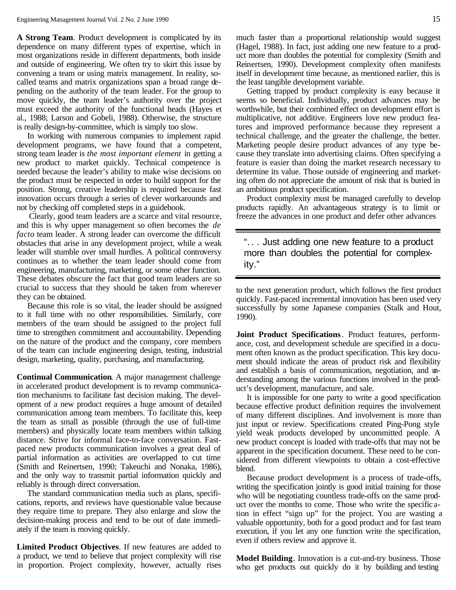**A Strong Team**. Product development is complicated by its dependence on many different types of expertise, which in most organizations reside in different departments, both inside and outside of engineering. We often try to skirt this issue by convening a team or using matrix management. In reality, socalled teams and matrix organizations span a broad range depending on the authority of the team leader. For the group to move quickly, the team leader's authority over the project must exceed the authority of the functional heads (Hayes et al., 1988; Larson and Gobeli, 1988). Otherwise, the structure is really design-by-committee, which is simply too slow.

In working with numerous companies to implement rapid development programs, we have found that a competent, strong team leader is *the most important element* in getting a new product to market quickly. Technical competence is needed because the leader's ability to make wise decisions on the product must be respected in order to build support for the position. Strong, creative leadership is required because fast innovation occurs through a series of clever workarounds and not by checking off completed steps in a guidebook.

Clearly, good team leaders are a scarce and vital resource, and this is why upper management so often becomes the *de facto* team leader. A strong leader can overcome the difficult obstacles that arise in any development project, while a weak leader will stumble over small hurdles. A political controversy continues as to whether the team leader should come from engineering, manufacturing, marketing, or some other function. These debates obscure the fact that good team leaders are so crucial to success that they should be taken from wherever they can be obtained.

Because this role is so vital, the leader should be assigned to it full time with no other responsibilities. Similarly, core members of the team should be assigned to the project full time to strengthen commitment and accountability. Depending on the nature of the product and the company, core members of the team can include engineering design, testing, industrial design, marketing, quality, purchasing, and manufacturing.

**Continual Communication**. A major management challenge in accelerated product development is to revamp communication mechanisms to facilitate fast decision making. The development of a new product requires a huge amount of detailed communication among team members. To facilitate this, keep the team as small as possible (through the use of full-time members) and physically locate team members within talking distance. Strive for informal face-to-face conversation. Fastpaced new products communication involves a great deal of partial information as activities are overlapped to cut time (Smith and Reinertsen, 1990; Takeuchi and Nonaka, 1986), and the only way to transmit partial information quickly and reliably is through direct conversation.

The standard communication media such as plans, specifications, reports, and reviews have questionable value because they require time to prepare. They also enlarge and slow the decision-making process and tend to be out of date immediately if the team is moving quickly.

**Limited Product Objectives**. If new features are added to a product, we tend to believe that project complexity will rise in proportion. Project complexity, however, actually rises much faster than a proportional relationship would suggest (Hagel, 1988). In fact, just adding one new feature to a product more than doubles the potential for complexity (Smith and Reinertsen, 1990). Development complexity often manifests itself in development time because, as mentioned earlier, this is the least tangible development variable.

Getting trapped by product complexity is easy because it seems so beneficial. Individually, product advances may be worthwhile, but their combined effect on development effort is multiplicative, not additive. Engineers love new product features and improved performance because they represent a technical challenge, and the greater the challenge, the better. Marketing people desire product advances of any type because they translate into advertising claims. Often specifying a feature is easier than doing the market research necessary to determine its value. Those outside of engineering and marketing often do not appreciate the amount of risk that is buried in an ambitious product specification.

Product complexity must be managed carefully to develop products rapidly. An advantageous strategy is to limit or freeze the advances in one product and defer other advances

".. . Just adding one new feature to a product more than doubles the potential for complexity."

to the next generation product, which follows the first product quickly. Fast-paced incremental innovation has been used very successfully by some Japanese companies (Stalk and Hout, 1990).

**Joint Product Specifications**. Product features, performance, cost, and development schedule are specified in a document often known as the product specification. This key document should indicate the areas of product risk and flexibility and establish a basis of communication, negotiation, and understanding among the various functions involved in the product's development, manufacture, and sale.

It is impossible for one party to write a good specification because effective product definition requires the involvement of many different disciplines. And involvement is more than just input or review. Specifications created Ping-Pong style yield weak products developed by uncommitted people. A new product concept is loaded with trade-offs that may not be apparent in the specification document. These need to be considered from different viewpoints to obtain a cost-effective blend.

Because product development is a process of trade-offs, writing the specification jointly is good initial training for those who will be negotiating countless trade-offs on the same product over the months to come. Those who write the specific ation in effect "sign up" for the project. You are wasting a valuable opportunity, both for a good product and for fast team execution, if you let any one function write the specification, even if others review and approve it.

**Model Building**. Innovation is a cut-and-try business. Those who get products out quickly do it by building and testing